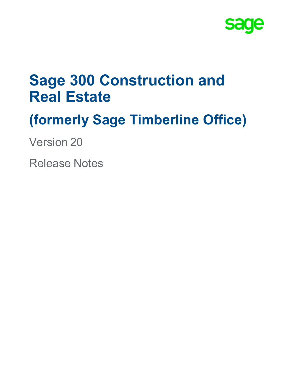

# **Sage 300 Construction and Real Estate**

# **(formerly Sage Timberline Office)**

Version 20

Release Notes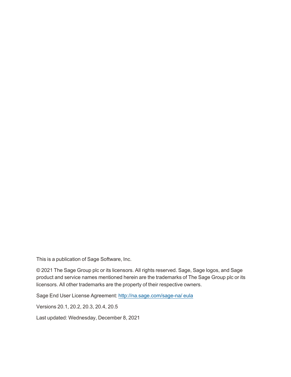This is a publication of Sage Software, Inc.

© 2021 The Sage Group plc or its licensors. All rights reserved. Sage, Sage logos, and Sage product and service names mentioned herein are the trademarks of The Sage Group plc or its licensors. All other trademarks are the property of their respective owners.

Sage End User License Agreement: [http://na.sage.com/sage-na/](http://na.sage.com/sage-na/eula) eula

Versions 20.1, 20.2, 20.3, 20.4, 20.5

Last updated: Wednesday, December 8, 2021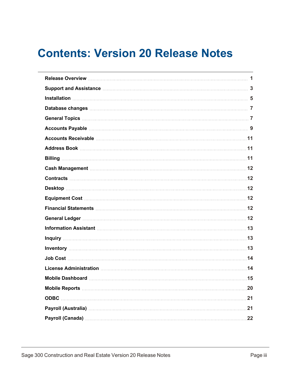## **Contents: Version 20 Release Notes**

| Support and Assistance Material Communications and Support and Assistance Material Communications 3 |
|-----------------------------------------------------------------------------------------------------|
|                                                                                                     |
|                                                                                                     |
|                                                                                                     |
|                                                                                                     |
|                                                                                                     |
|                                                                                                     |
|                                                                                                     |
|                                                                                                     |
|                                                                                                     |
|                                                                                                     |
|                                                                                                     |
|                                                                                                     |
|                                                                                                     |
|                                                                                                     |
|                                                                                                     |
|                                                                                                     |
|                                                                                                     |
|                                                                                                     |
| 15                                                                                                  |
|                                                                                                     |
| <b>ODBC</b>                                                                                         |
| Payroll (Australia) 21                                                                              |
| Payroll (Canada) 22                                                                                 |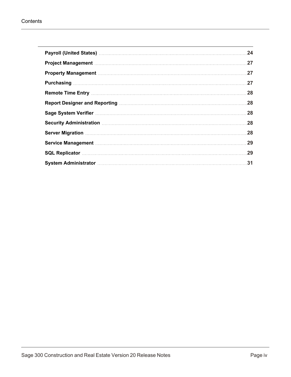|                                                                                                                    | 24  |
|--------------------------------------------------------------------------------------------------------------------|-----|
| Project Management Manuscriptum Management Manuscriptum Management Management Management Manuscriptum Manageme     |     |
|                                                                                                                    |     |
| Purchasing 27                                                                                                      |     |
|                                                                                                                    | .28 |
|                                                                                                                    | .28 |
|                                                                                                                    | .28 |
| 8. Security Administration manufactured and the control of the security Administration manufactured and the second |     |
|                                                                                                                    |     |
|                                                                                                                    | 29  |
|                                                                                                                    | 29  |
|                                                                                                                    |     |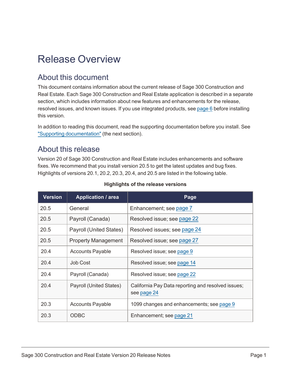## <span id="page-4-0"></span>Release Overview

### About this document

This document contains information about the current release of Sage 300 Construction and Real Estate. Each Sage 300 Construction and Real Estate application is described in a separate section, which includes information about new features and enhancements for the release, resolved issues, and known issues. If you use integrated products, see [page](#page-9-0) 6 before installing this version.

In addition to reading this document, read the supporting documentation before you install. See "Supporting [documentation"](#page-6-1) (the next section).

### About this release

Version 20 of Sage 300 Construction and Real Estate includes enhancements and software fixes. We recommend that you install version 20.5 to get the latest updates and bug fixes. Highlights of versions 20.1, 20.2, 20.3, 20.4, and 20.5 are listed in the following table.

| <b>Version</b> | <b>Application / area</b>  | Page                                                              |
|----------------|----------------------------|-------------------------------------------------------------------|
| 20.5           | General                    | Enhancement; see page 7                                           |
| 20.5           | Payroll (Canada)           | Resolved issue; see page 22                                       |
| 20.5           | Payroll (United States)    | Resolved issues; see page 24                                      |
| 20.5           | <b>Property Management</b> | Resolved issue; see page 27                                       |
| 20.4           | <b>Accounts Payable</b>    | Resolved issue; see page 9                                        |
| 20.4           | Job Cost                   | Resolved issue; see page 14                                       |
| 20.4           | Payroll (Canada)           | Resolved issue; see page 22                                       |
| 20.4           | Payroll (United States)    | California Pay Data reporting and resolved issues;<br>see page 24 |
| 20.3           | <b>Accounts Payable</b>    | 1099 changes and enhancements; see page 9                         |
| 20.3           | <b>ODBC</b>                | Enhancement; see page 21                                          |

#### **Highlights of the release versions**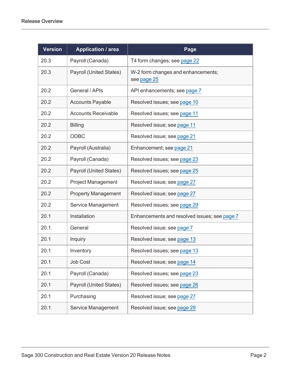| <b>Version</b> | <b>Application / area</b>  | Page                                              |
|----------------|----------------------------|---------------------------------------------------|
| 20.3           | Payroll (Canada)           | T4 form changes; see page 22                      |
| 20.3           | Payroll (United States)    | W-2 form changes and enhancements;<br>see page 25 |
| 20.2           | General / APIs             | API enhancements; see page 7                      |
| 20.2           | <b>Accounts Payable</b>    | Resolved issues; see page 10                      |
| 20.2           | <b>Accounts Receivable</b> | Resolved issues; see page 11                      |
| 20.2           | <b>Billing</b>             | Resolved issue; see page 11                       |
| 20.2           | <b>ODBC</b>                | Resolved issue; see page 21                       |
| 20.2           | Payroll (Australia)        | Enhancement; see page 21                          |
| 20.2           | Payroll (Canada)           | Resolved issues; see page 23                      |
| 20.2           | Payroll (United States)    | Resolved issues; see page 25                      |
| 20.2           | <b>Project Management</b>  | Resolved issue; see page 27                       |
| 20.2           | <b>Property Management</b> | Resolved issue; see page 27                       |
| 20.2           | Service Management         | Resolved issues; see page 29                      |
| 20.1           | Installation               | Enhancements and resolved issues; see page 7      |
| 20.1           | General                    | Resolved issue; see page 7                        |
| 20.1           | <b>Inquiry</b>             | Resolved issue; see page 13                       |
| 20.1           | Inventory                  | Resolved issues; see page 13                      |
| 20.1           | Job Cost                   | Resolved issue; see page 14                       |
| 20.1           | Payroll (Canada)           | Resolved issues; see page 23                      |
| 20.1           | Payroll (United States)    | Resolved issues; see page 26                      |
| 20.1           | Purchasing                 | Resolved issue; see page 27                       |
| 20.1           | Service Management         | Resolved issue; see page 29                       |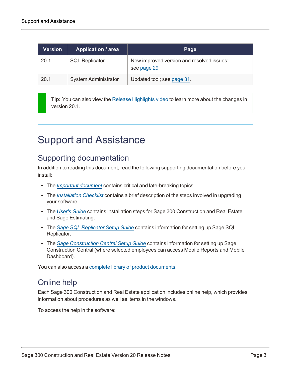| <b>Version</b> | <b>Application / area</b>   | Page                                                     |
|----------------|-----------------------------|----------------------------------------------------------|
| 20.1           | <b>SQL Replicator</b>       | New improved version and resolved issues;<br>see page 29 |
| 20.1           | <b>System Administrator</b> | Updated tool; see page 31.                               |

**Tip:** You can also view the Release [Highlights](https://support.na.sage.com/selfservice/viewdocument.do?externalID=104408) video to learn more about the changes in version 20.1.

## <span id="page-6-1"></span><span id="page-6-0"></span>Support and Assistance

### Supporting documentation

In addition to reading this document, read the following supporting documentation before you install:

- The *Important [document](http://cdn.na.sage.com/Docs/en/customer/300cre/20/open/20IMPORTANT.pdf)* contains critical and late-breaking topics.
- The *[Installation](http://cdn.na.sage.com/Docs/en/customer/300cre/20/open/Acct_Checklist.pdf) Checklist* contains a brief description of the steps involved in upgrading your software.
- <sup>l</sup> The *[User's](http://cdn.na.sage.com/Docs/en/customer/300cre/20/open/UserGuide.pdf) Guide* contains installation steps for Sage 300 Construction and Real Estate and Sage Estimating.
- <sup>l</sup> The *Sage SQL [Replicator](http://cdn.na.sage.com/Docs/en/customer/300cre/20/open/Replicator_SetupGuide_20.pdf) Setup Guide* contains information for setting up Sage SQL Replicator.
- The *Sage [Construction](http://cdn.na.sage.com/Docs/en/customer/300cre/18_1/open/Mobile_SetupGuide_182.pdf) Central Setup Guide* contains information for setting up Sage Construction Central (where selected employees can access Mobile Reports and Mobile Dashboard).

You can also access a complete library of product [documents](http://cdn.na.sage.com/Docs/en/customer/300cre/Documentation.htm).

### Online help

Each Sage 300 Construction and Real Estate application includes online help, which provides information about procedures as well as items in the windows.

To access the help in the software: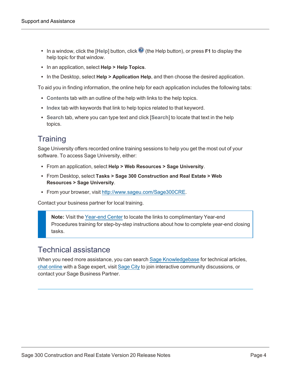- In a window, click the [Help] button, click  $\bullet$  (the Help button), or press **F1** to display the help topic for that window.
- <sup>l</sup> In an application, select **Help > Help Topics**.
- **•** In the Desktop, select **Help > Application Help**, and then choose the desired application.

To aid you in finding information, the online help for each application includes the following tabs:

- **Contents** tab with an outline of the help with links to the help topics.
- **Index** tab with keywords that link to help topics related to that keyword.
- **Search tab, where you can type text and click [Search] to locate that text in the help** topics.

### **Training**

Sage University offers recorded online training sessions to help you get the most out of your software. To access Sage University, either:

- <sup>l</sup> From an application, select **Help > Web Resources > Sage University**.
- <sup>l</sup> From Desktop, select **Tasks > Sage 300 Construction and Real Estate > Web Resources > Sage University**.
- From your browser, visit <http://www.sageu.com/Sage300CRE>.

Contact your business partner for local training.

**Note:** Visit the [Year-end](https://www.sagecity.com/us/sage_construction_and_real_estate/sage300cre-yearend/) Center to locate the links to complimentary Year-end Procedures training for step-by-step instructions about how to complete year-end closing tasks.

#### Technical assistance

When you need more assistance, you can search Sage [Knowledgebase](https://support.na.sage.com/selfservice/microsites/msbrowse.do?UMBrowseSelection=SG_SAGE300CRE_1) for technical articles, chat [online](https://chat.na.sage.com/sdcxuser/rrn/issue_new.asp?) with a Sage expert, visit [Sage](http://sagecity.na.sage.com/support_communities/sage_construction_and_real_estate/) City to join interactive community discussions, or contact your Sage Business Partner.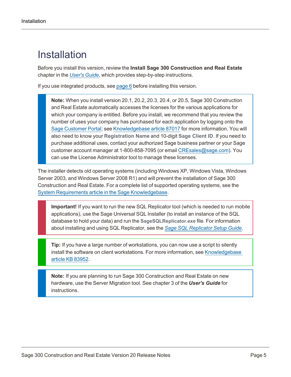## <span id="page-8-0"></span>Installation

Before you install this version, review the **Install Sage 300 Construction and Real Estate** chapter in the *[User's](http://cdn.na.sage.com/Docs/en/customer/300cre/20/open/UserGuide.pdf) Guide*, which provides step-by-step instructions.

If you use integrated products, see [page](#page-9-0) 6 before installing this version.

**Note:** When you install version 20.1, 20.2, 20.3, 20.4, or 20.5, Sage 300 Construction and Real Estate automatically accesses the licenses for the various applications for which your company is entitled. Before you install, we recommend that you review the number of uses your company has purchased for each application by logging onto the Sage [Customer](https://customers.sagenorthamerica.com/) Portal; see [Knowledgebase](https://support.na.sage.com/selfservice/viewdocument.do?externalId=87017) article 87017 for more information. You will also need to know your **Registration Name** and 10-digit **Sage Client ID**. If you need to purchase additional uses, contact your authorized Sage business partner or your Sage customer account manager at 1-800-858-7095 (or email [CREsales@sage.com](mailto:CREsales@sage.com)). You can use the License Administrator tool to manage these licenses.

The installer detects old operating systems (including Windows XP, Windows Vista, Windows Server 2003, and Windows Server 2008 R1) and will prevent the installation of Sage 300 Construction and Real Estate. For a complete list of supported operating systems, see the System Requirements article in the Sage [Knowledgebase](https://support.na.sage.com/selfservice/viewdocument.do?externalId=104860).

**Important!** If you want to run the new SQL Replicator tool (which is needed to run mobile applications), use the Sage Universal SQL Installer (to install an instance of the SQL database to hold your data) and run the **SageSQLReplicator.exe** file. For information about installing and using SQL Replicator, see the *Sage SQL [Replicator](http://cdn.na.sage.com/Docs/en/customer/300cre/20/open/Replicator_SetupGuide_20.pdf) Setup Guide*.

**Tip:** If you have a large number of workstations, you can now use a script to silently install the software on client workstations. For more information, see [Knowledgebase](https://support.na.sage.com/selfservice/viewdocument.do?externalId=83952) article KB [83952](https://support.na.sage.com/selfservice/viewdocument.do?externalId=83952).

**Note:** If you are planning to run Sage 300 Construction and Real Estate on new hardware, use the Server Migration tool. See chapter 3 of the *User's Guide* for instructions.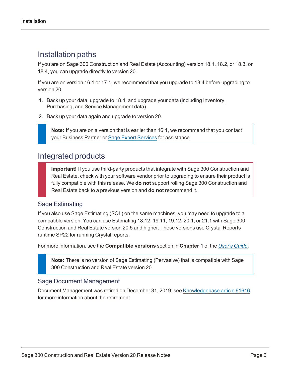### Installation paths

If you are on Sage 300 Construction and Real Estate (Accounting) version 18.1, 18.2, or 18.3, or 18.4, you can upgrade directly to version 20.

If you are on version 16.1 or 17.1, we recommend that you upgrade to 18.4 before upgrading to version 20:

- 1. Back up your data, upgrade to 18.4, and upgrade your data (including Inventory, Purchasing, and Service Management data).
- 2. Back up your data again and upgrade to version 20.

**Note:** If you are on a version that is earlier than 16.1, we recommend that you contact your Business Partner or Sage Expert [Services](https://support.na.sage.com/selfservice/viewdocument.do?externalId=100939) for assistance.

### <span id="page-9-0"></span>Integrated products

**Important!** If you use third-party products that integrate with Sage 300 Construction and Real Estate, check with your software vendor prior to upgrading to ensure their product is fully compatible with this release. We **do not** support rolling Sage 300 Construction and Real Estate back to a previous version and **do not** recommend it.

#### Sage Estimating

If you also use Sage Estimating (SQL) on the same machines, you may need to upgrade to a compatible version. You can use Estimating 18.12, 19.11, 19.12, 20.1, or 21.1 with Sage 300 Construction and Real Estate version 20.5 and higher. These versions use Crystal Reports runtime SP22 for running Crystal reports.

For more information, see the **Compatible versions** section in **Chapter 1** of the *[User's](http://cdn.na.sage.com/Docs/en/customer/300cre/20/open/UserGuide.pdf) Guide*.

**Note:** There is no version of Sage Estimating (Pervasive) that is compatible with Sage 300 Construction and Real Estate version 20.

#### Sage Document Management

Document Management was retired on December 31, 2019; see [Knowledgebase](https://support.na.sage.com/selfservice/viewdocument.do?externalID=91616) article 91616 for more information about the retirement.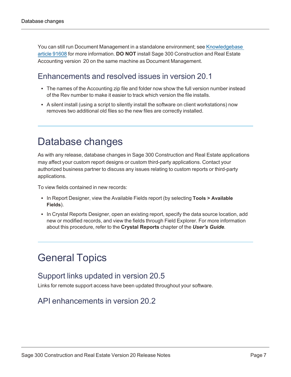You can still run Document Management in a standalone environment; see [Knowledgebase](https://support.na.sage.com/selfservice/viewdocument.do?externalID=91608) article [91608](https://support.na.sage.com/selfservice/viewdocument.do?externalID=91608) for more information. **DO NOT** install Sage 300 Construction and Real Estate Accounting version 20 on the same machine as Document Management.

### <span id="page-10-3"></span>Enhancements and resolved issues in version 20.1

- The names of the Accounting zip file and folder now show the full version number instead of the Rev number to make it easier to track which version the file installs.
- A silent install (using a script to silently install the software on client workstations) now removes two additional old files so the new files are correctly installed.

### <span id="page-10-0"></span>Database changes

As with any release, database changes in Sage 300 Construction and Real Estate applications may affect your custom report designs or custom third-party applications. Contact your authorized business partner to discuss any issues relating to custom reports or third-party applications.

To view fields contained in new records:

- In Report Designer, view the Available Fields report (by selecting **Tools > Available Fields**).
- In Crystal Reports Designer, open an existing report, specify the data source location, add new or modified records, and view the fields through Field Explorer. For more information about this procedure, refer to the **Crystal Reports** chapter of the *User's Guide*.

## <span id="page-10-2"></span><span id="page-10-1"></span>General Topics

### Support links updated in version 20.5

Links for remote support access have been updated throughout your software.

### API enhancements in version 20.2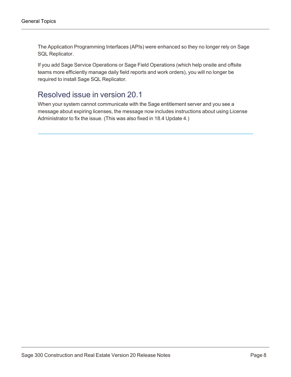The Application Programming Interfaces (APIs) were enhanced so they no longer rely on Sage SQL Replicator.

If you add Sage Service Operations or Sage Field Operations (which help onsite and offsite teams more efficiently manage daily field reports and work orders), you will no longer be required to install Sage SQL Replicator.

### Resolved issue in version 20.1

When your system cannot communicate with the Sage entitlement server and you see a message about expiring licenses, the message now includes instructions about using License Administrator to fix the issue. (This was also fixed in 18.4 Update 4.)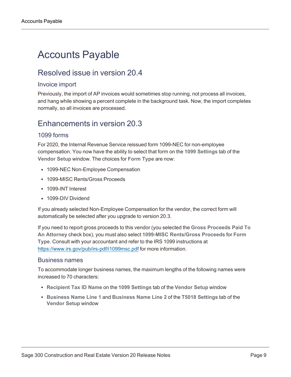## <span id="page-12-0"></span>Accounts Payable

### Resolved issue in version 20.4

#### Invoice import

Previously, the import of AP invoices would sometimes stop running, not process all invoices, and hang while showing a percent complete in the background task. Now, the import completes normally, so all invoices are processed.

### Enhancements in version 20.3

#### 1099 forms

For 2020, the Internal Revenue Service reissued form 1099-NEC for non-employee compensation. You now have the ability to select that form on the **1099 Settings** tab of the **Vendor Setup** window. The choices for **Form Type** are now:

- 1099-NEC Non-Employee Compensation
- 1099-MISC Rents/Gross Proceeds
- 1099-INT Interest
- 1099-DIV Dividend

If you already selected Non-Employee Compensation for the vendor, the correct form will automatically be selected after you upgrade to version 20.3.

If you need to report gross proceeds to this vendor (you selected the **Gross Proceeds Paid To An Attorney** check box), you must also select **1099-MISC Rents/Gross Proceeds** for **Form Type**. Consult with your accountant and refer to the IRS 1099 instructions at <https://www.irs.gov/pub/irs-pdf/i1099msc.pdf> for more information.

#### Business names

To accommodate longer business names, the maximum lengths of the following names were increased to 70 characters:

- <sup>l</sup> **Recipient Tax ID Name** on the **1099 Settings** tab of the **Vendor Setup** window
- <sup>l</sup> **Business Name Line 1** and **Business Name Line 2** of the **T5018 Settings** tab of the **Vendor Setup** window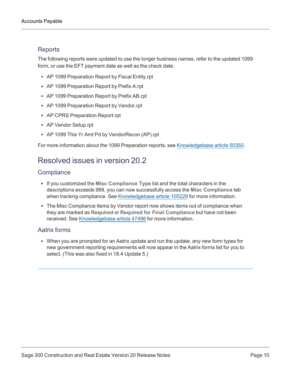#### **Reports**

The following reports were updated to use the longer business names, refer to the updated 1099 form, or use the EFT payment date as well as the check date.

- AP 1099 Preparation Report by Fiscal Entity.rpt
- AP 1099 Preparation Report by Prefix A.rpt
- AP 1099 Preparation Report by Prefix AB.rpt
- AP 1099 Preparation Report by Vendor.rpt
- AP CPRS Preparation Report.rpt
- AP Vendor Setup.rpt
- AP 1099 This Yr Amt Pd by VendorRecon (AP).rpt

<span id="page-13-0"></span>For more information about the 1099 Preparation reports, see [Knowledgebase](https://support.na.sage.com/selfservice/viewdocument.do?externalID=50350) article 50350.

### Resolved issues in version 20.2

#### **Compliance**

- **.** If you customized the Misc Compliance Type list and the total characters in the descriptions exceeds 999, you can now successfully access the **Misc Compliance** tab when tracking compliance. See [Knowledgebase](https://support.na.sage.com/selfservice/viewdocument.do?externalID=105229) article 105229 for more information.
- The Misc Compliance Items by Vendor report now shows items out of compliance when they are marked as **Required** or **Required for Final Compliance** but have not been received. See [Knowledgebase](https://support.na.sage.com/selfservice/viewdocument.do?externalID=47496) article 47496 for more information.

#### Aatrix forms

• When you are prompted for an Aatrix update and run the update, any new form types for new government reporting requirements will now appear in the Aatrix forms list for you to select. (This was also fixed in 18.4 Update 5.)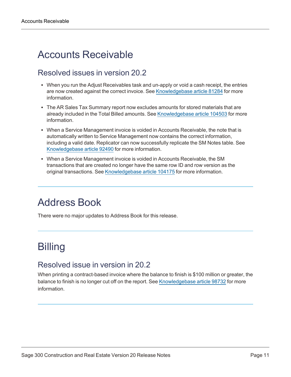## <span id="page-14-0"></span>Accounts Receivable

### Resolved issues in version 20.2

- When you run the Adjust Receivables task and un-apply or void a cash receipt, the entries are now created against the correct invoice. See [Knowledgebase](https://support.na.sage.com/selfservice/viewdocument.do?externalID=81284) article 81284 for more information.
- The AR Sales Tax Summary report now excludes amounts for stored materials that are already included in the Total Billed amounts. See [Knowledgebase](https://support.na.sage.com/selfservice/viewdocument.do?externalID=104503) article 104503 for more information.
- When a Service Management invoice is voided in Accounts Receivable, the note that is automatically written to Service Management now contains the correct information, including a valid date. Replicator can now successfully replicate the SM Notes table. See [Knowledgebase](https://support.na.sage.com/selfservice/viewdocument.do?externalID=92490) article 92490 for more information.
- When a Service Management invoice is voided in Accounts Receivable, the SM transactions that are created no longer have the same row ID and row version as the original transactions. See [Knowledgebase](https://support.na.sage.com/selfservice/viewdocument.do?externalID=104175) article 104175 for more information.

## <span id="page-14-1"></span>Address Book

There were no major updates to Address Book for this release.

## <span id="page-14-2"></span>**Billing**

### Resolved issue in version in 20.2

When printing a contract-based invoice where the balance to finish is \$100 million or greater, the balance to finish is no longer cut off on the report. See [Knowledgebase](https://support.na.sage.com/selfservice/viewdocument.do?externalID=98732) article 98732 for more information.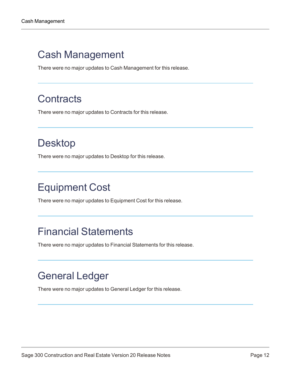## <span id="page-15-0"></span>Cash Management

There were no major updates to Cash Management for this release.

## <span id="page-15-1"></span>**Contracts**

There were no major updates to Contracts for this release.

## <span id="page-15-2"></span>Desktop

There were no major updates to Desktop for this release.

## <span id="page-15-3"></span>Equipment Cost

There were no major updates to Equipment Cost for this release.

### <span id="page-15-4"></span>Financial Statements

There were no major updates to Financial Statements for this release.

## <span id="page-15-5"></span>General Ledger

There were no major updates to General Ledger for this release.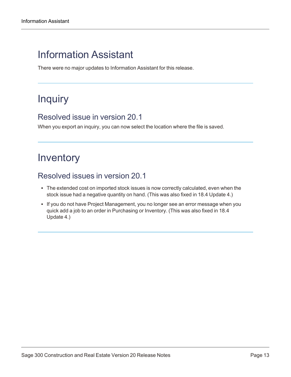## <span id="page-16-0"></span>Information Assistant

There were no major updates to Information Assistant for this release.

## <span id="page-16-1"></span>Inquiry

#### Resolved issue in version 20.1

When you export an inquiry, you can now select the location where the file is saved.

## <span id="page-16-2"></span>Inventory

### Resolved issues in version 20.1

- The extended cost on imported stock issues is now correctly calculated, even when the stock issue had a negative quantity on hand. (This was also fixed in 18.4 Update 4.)
- If you do not have Project Management, you no longer see an error message when you quick add a job to an order in Purchasing or Inventory. (This was also fixed in 18.4 Update 4.)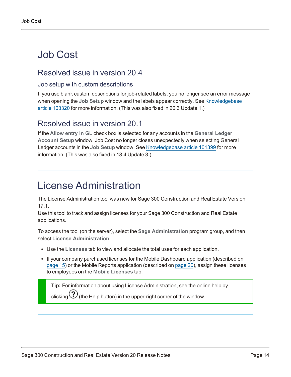## <span id="page-17-0"></span>Job Cost

### Resolved issue in version 20.4

#### Job setup with custom descriptions

If you use blank custom descriptions for job-related labels, you no longer see an error message when opening the **Job Setup** window and the labels appear correctly. See [Knowledgebase](https://support.na.sage.com/selfservice/viewdocument.do?externalID=103320) article [103320](https://support.na.sage.com/selfservice/viewdocument.do?externalID=103320) for more information. (This was also fixed in 20.3 Update 1.)

### Resolved issue in version 20.1

If the **Allow entry in GL** check box is selected for any accounts in the **General Ledger Account Setup** window, Job Cost no longer closes unexpectedly when selecting General Ledger accounts in the **Job Setup** window. See [Knowledgebase](https://support.na.sage.com/selfservice/viewdocument.do?externalID=101399) article 101399 for more information. (This was also fixed in 18.4 Update 3.)

## <span id="page-17-1"></span>License Administration

The License Administration tool was new for Sage 300 Construction and Real Estate Version 17.1.

Use this tool to track and assign licenses for your Sage 300 Construction and Real Estate applications.

To access the tool (on the server), select the **Sage Administration** program group, and then select **License Administration**.

- <sup>l</sup> Use the **Licenses** tab to view and allocate the total uses for each application.
- If your company purchased licenses for the Mobile Dashboard application (described on [page](#page-18-0) 15) or the Mobile Reports application (described on [page](#page-23-0) 20), assign these licenses to employees on the **Mobile Licenses** tab.

**Tip:** For information about using License Administration, see the online help by clicking  $\bigcirc$  (the Help button) in the upper-right corner of the window.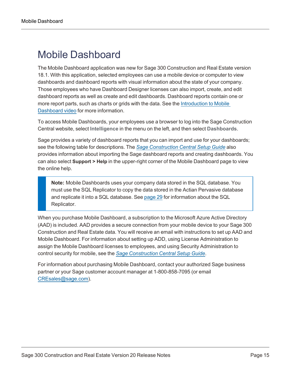## <span id="page-18-0"></span>Mobile Dashboard

The Mobile Dashboard application was new for Sage 300 Construction and Real Estate version 18.1. With this application, selected employees can use a mobile device or computer to view dashboards and dashboard reports with visual information about the state of your company. Those employees who have Dashboard Designer licenses can also import, create, and edit dashboard reports as well as create and edit dashboards. Dashboard reports contain one or more report parts, such as charts or grids with the data. See the [Introduction](https://support.na.sage.com/selfservice/viewdocument.do?externalID=90455) to Mobile [Dashboard](https://support.na.sage.com/selfservice/viewdocument.do?externalID=90455) video for more information.

To access Mobile Dashboards, your employees use a browser to log into the Sage Construction Central website, select **Intelligence** in the menu on the left, and then select **Dashboards**.

Sage provides a variety of dashboard reports that you can import and use for your dashboards; see the following table for descriptions. The *Sage [Construction](http://cdn.na.sage.com/Docs/en/customer/300cre/18_1/open/Mobile_SetupGuide_182.pdf) Central Setup Guide* also provides information about importing the Sage dashboard reports and creating dashboards. You can also select **Support > Help** in the upper-right corner of the Mobile Dashboard page to view the online help.

**Note:** Mobile Dashboards uses your company data stored in the SQL database. You must use the SQL Replicator to copy the data stored in the Actian Pervasive database and replicate it into a SQL database. See [page](#page-32-1) 29 for information about the SQL Replicator.

When you purchase Mobile Dashboard, a subscription to the Microsoft Azure Active Directory (AAD) is included. AAD provides a secure connection from your mobile device to your Sage 300 Construction and Real Estate data. You will receive an email with instructions to set up AAD and Mobile Dashboard. For information about setting up ADD, using License Administration to assign the Mobile Dashboard licenses to employees, and using Security Administration to control security for mobile, see the *Sage [Construction](http://cdn.na.sage.com/Docs/en/customer/300cre/18_1/open/Mobile_SetupGuide_182.pdf) Central Setup Guide*.

For information about purchasing Mobile Dashboard, contact your authorized Sage business partner or your Sage customer account manager at 1-800-858-7095 (or email [CREsales@sage.com\)](mailto:CREsales@sage.com).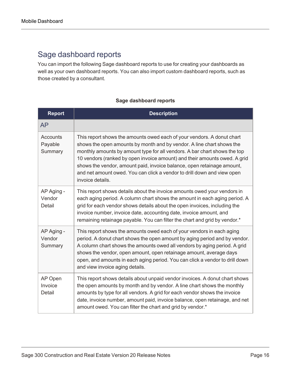### Sage dashboard reports

You can import the following Sage dashboard reports to use for creating your dashboards as well as your own dashboard reports. You can also import custom dashboard reports, such as those created by a consultant.

#### **Sage dashboard reports**

| <b>Report</b>                         | <b>Description</b>                                                                                                                                                                                                                                                                                                                                                                                                                                                                 |
|---------------------------------------|------------------------------------------------------------------------------------------------------------------------------------------------------------------------------------------------------------------------------------------------------------------------------------------------------------------------------------------------------------------------------------------------------------------------------------------------------------------------------------|
| <b>AP</b>                             |                                                                                                                                                                                                                                                                                                                                                                                                                                                                                    |
| <b>Accounts</b><br>Payable<br>Summary | This report shows the amounts owed each of your vendors. A donut chart<br>shows the open amounts by month and by vendor. A line chart shows the<br>monthly amounts by amount type for all vendors. A bar chart shows the top<br>10 vendors (ranked by open invoice amount) and their amounts owed. A grid<br>shows the vendor, amount paid, invoice balance, open retainage amount,<br>and net amount owed. You can click a vendor to drill down and view open<br>invoice details. |
| AP Aging -<br>Vendor<br>Detail        | This report shows details about the invoice amounts owed your vendors in<br>each aging period. A column chart shows the amount in each aging period. A<br>grid for each vendor shows details about the open invoices, including the<br>invoice number, invoice date, accounting date, invoice amount, and<br>remaining retainage payable. You can filter the chart and grid by vendor.*                                                                                            |
| AP Aging -<br>Vendor<br>Summary       | This report shows the amounts owed each of your vendors in each aging<br>period. A donut chart shows the open amount by aging period and by vendor.<br>A column chart shows the amounts owed all vendors by aging period. A grid<br>shows the vendor, open amount, open retainage amount, average days<br>open, and amounts in each aging period. You can click a vendor to drill down<br>and view invoice aging details.                                                          |
| AP Open<br>Invoice<br>Detail          | This report shows details about unpaid vendor invoices. A donut chart shows<br>the open amounts by month and by vendor. A line chart shows the monthly<br>amounts by type for all vendors. A grid for each vendor shows the invoice<br>date, invoice number, amount paid, invoice balance, open retainage, and net<br>amount owed. You can filter the chart and grid by vendor.*                                                                                                   |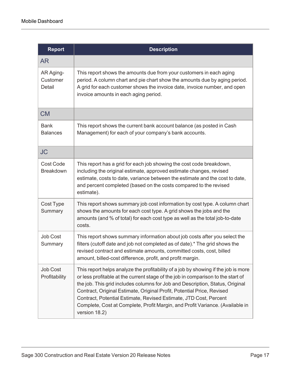| <b>Report</b>                    | <b>Description</b>                                                                                                                                                                                                                                                                                                                                                                                                                                                                                       |
|----------------------------------|----------------------------------------------------------------------------------------------------------------------------------------------------------------------------------------------------------------------------------------------------------------------------------------------------------------------------------------------------------------------------------------------------------------------------------------------------------------------------------------------------------|
| <b>AR</b>                        |                                                                                                                                                                                                                                                                                                                                                                                                                                                                                                          |
| AR Aging-<br>Customer<br>Detail  | This report shows the amounts due from your customers in each aging<br>period. A column chart and pie chart show the amounts due by aging period.<br>A grid for each customer shows the invoice date, invoice number, and open<br>invoice amounts in each aging period.                                                                                                                                                                                                                                  |
| <b>CM</b>                        |                                                                                                                                                                                                                                                                                                                                                                                                                                                                                                          |
| <b>Bank</b><br><b>Balances</b>   | This report shows the current bank account balance (as posted in Cash<br>Management) for each of your company's bank accounts.                                                                                                                                                                                                                                                                                                                                                                           |
| <b>JC</b>                        |                                                                                                                                                                                                                                                                                                                                                                                                                                                                                                          |
| Cost Code<br><b>Breakdown</b>    | This report has a grid for each job showing the cost code breakdown,<br>including the original estimate, approved estimate changes, revised<br>estimate, costs to date, variance between the estimate and the cost to date,<br>and percent completed (based on the costs compared to the revised<br>estimate).                                                                                                                                                                                           |
| Cost Type<br>Summary             | This report shows summary job cost information by cost type. A column chart<br>shows the amounts for each cost type. A grid shows the jobs and the<br>amounts (and % of total) for each cost type as well as the total job-to-date<br>costs.                                                                                                                                                                                                                                                             |
| Job Cost<br>Summary              | This report shows summary information about job costs after you select the<br>filters (cutoff date and job not completed as of date).* The grid shows the<br>revised contract and estimate amounts, committed costs, cost, billed<br>amount, billed-cost difference, profit, and profit margin.                                                                                                                                                                                                          |
| <b>Job Cost</b><br>Profitability | This report helps analyze the profitability of a job by showing if the job is more<br>or less profitable at the current stage of the job in comparison to the start of<br>the job. This grid includes columns for Job and Description, Status, Original<br>Contract, Original Estimate, Original Profit, Potential Price, Revised<br>Contract, Potential Estimate, Revised Estimate, JTD Cost, Percent<br>Complete, Cost at Complete, Profit Margin, and Profit Variance. (Available in<br>version 18.2) |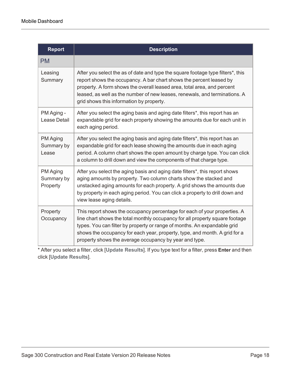| <b>Report</b>                      | <b>Description</b>                                                                                                                                                                                                                                                                                                                                                            |
|------------------------------------|-------------------------------------------------------------------------------------------------------------------------------------------------------------------------------------------------------------------------------------------------------------------------------------------------------------------------------------------------------------------------------|
| <b>PM</b>                          |                                                                                                                                                                                                                                                                                                                                                                               |
| Leasing<br>Summary                 | After you select the as of date and type the square footage type filters <sup>*</sup> , this<br>report shows the occupancy. A bar chart shows the percent leased by<br>property. A form shows the overall leased area, total area, and percent<br>leased, as well as the number of new leases, renewals, and terminations. A<br>grid shows this information by property.      |
| PM Aging -<br><b>Lease Detail</b>  | After you select the aging basis and aging date filters*, this report has an<br>expandable grid for each property showing the amounts due for each unit in<br>each aging period.                                                                                                                                                                                              |
| PM Aging<br>Summary by<br>Lease    | After you select the aging basis and aging date filters*, this report has an<br>expandable grid for each lease showing the amounts due in each aging<br>period. A column chart shows the open amount by charge type. You can click<br>a column to drill down and view the components of that charge type.                                                                     |
| PM Aging<br>Summary by<br>Property | After you select the aging basis and aging date filters*, this report shows<br>aging amounts by property. Two column charts show the stacked and<br>unstacked aging amounts for each property. A grid shows the amounts due<br>by property in each aging period. You can click a property to drill down and<br>view lease aging details.                                      |
| Property<br>Occupancy              | This report shows the occupancy percentage for each of your properties. A<br>line chart shows the total monthly occupancy for all property square footage<br>types. You can filter by property or range of months. An expandable grid<br>shows the occupancy for each year, property, type, and month. A grid for a<br>property shows the average occupancy by year and type. |

\* After you select a filter, click [**Update Results**]. If you type text for a filter, press **Enter** and then click [**Update Results**].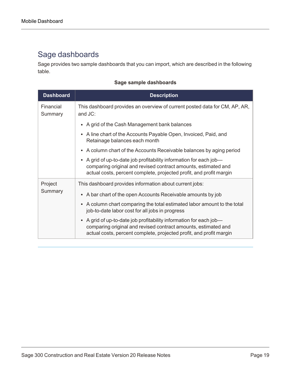### Sage dashboards

Sage provides two sample dashboards that you can import, which are described in the following table.

#### **Sage sample dashboards**

| <b>Dashboard</b>     | <b>Description</b>                                                                                                                                                                                          |
|----------------------|-------------------------------------------------------------------------------------------------------------------------------------------------------------------------------------------------------------|
| Financial<br>Summary | This dashboard provides an overview of current posted data for CM, AP, AR,<br>and JC:                                                                                                                       |
|                      | • A grid of the Cash Management bank balances                                                                                                                                                               |
|                      | • A line chart of the Accounts Payable Open, Invoiced, Paid, and<br>Retainage balances each month                                                                                                           |
|                      | • A column chart of the Accounts Receivable balances by aging period                                                                                                                                        |
|                      | • A grid of up-to-date job profitability information for each job-<br>comparing original and revised contract amounts, estimated and<br>actual costs, percent complete, projected profit, and profit margin |
| Project<br>Summary   | This dashboard provides information about current jobs:                                                                                                                                                     |
|                      | • A bar chart of the open Accounts Receivable amounts by job                                                                                                                                                |
|                      | • A column chart comparing the total estimated labor amount to the total<br>job-to-date labor cost for all jobs in progress                                                                                 |
|                      | • A grid of up-to-date job profitability information for each job-<br>comparing original and revised contract amounts, estimated and<br>actual costs, percent complete, projected profit, and profit margin |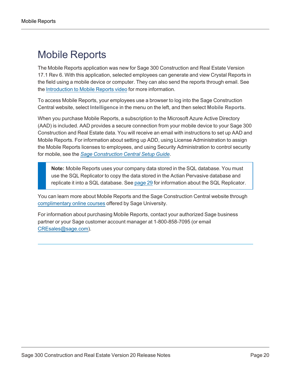## <span id="page-23-0"></span>Mobile Reports

The Mobile Reports application was new for Sage 300 Construction and Real Estate Version 17.1 Rev 6. With this application, selected employees can generate and view Crystal Reports in the field using a mobile device or computer. They can also send the reports through email. See the [Introduction](https://support.na.sage.com/selfservice/viewdocument.do?externalID=87676) to Mobile Reports video for more information.

To access Mobile Reports, your employees use a browser to log into the Sage Construction Central website, select **Intelligence** in the menu on the left, and then select **Mobile Reports**.

When you purchase Mobile Reports, a subscription to the Microsoft Azure Active Directory (AAD) is included. AAD provides a secure connection from your mobile device to your Sage 300 Construction and Real Estate data. You will receive an email with instructions to set up AAD and Mobile Reports. For information about setting up ADD, using License Administration to assign the Mobile Reports licenses to employees, and using Security Administration to control security for mobile, see the *Sage [Construction](http://cdn.na.sage.com/Docs/en/customer/300cre/18_1/open/Replicator_Mobile_SetupGuide_182.pdf) Central Setup Guide*.

**Note:** Mobile Reports uses your company data stored in the SQL database. You must use the SQL Replicator to copy the data stored in the Actian Pervasive database and replicate it into a SQL database. See [page](#page-32-1) 29 for information about the SQL Replicator.

You can learn more about Mobile Reports and the Sage Construction Central website through [complimentary](https://sageu.csod.com/default.aspx?p=sageu&c=300c&dlink=%2fDeepLink%2fProcessRedirect.aspx%3fmodule%3dlodetails%26lo%3df93f51c3-f6b3-4e76-9405-02224ab4958c) online courses offered by Sage University.

For information about purchasing Mobile Reports, contact your authorized Sage business partner or your Sage customer account manager at 1-800-858-7095 (or email [CREsales@sage.com\)](mailto:CREsales@sage.com).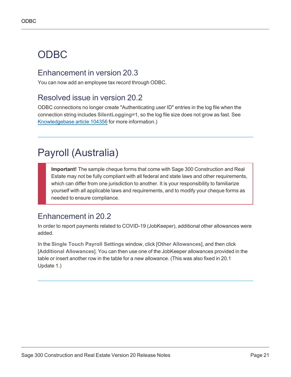## <span id="page-24-0"></span>ODBC

### Enhancement in version 20.3

You can now add an employee tax record through ODBC.

### Resolved issue in version 20.2

ODBC connections no longer create "Authenticating user ID" entries in the log file when the connection string includes **SilentLogging=1**, so the log file size does not grow as fast. See [Knowledgebase](https://support.na.sage.com/selfservice/viewdocument.do?externalID=104356) article 104356 for more information.)

## <span id="page-24-1"></span>Payroll (Australia)

**Important!** The sample cheque forms that come with Sage 300 Construction and Real Estate may not be fully compliant with all federal and state laws and other requirements, which can differ from one jurisdiction to another. It is your responsibility to familiarize yourself with all applicable laws and requirements, and to modify your cheque forms as needed to ensure compliance.

### Enhancement in 20.2

In order to report payments related to COVID-19 (JobKeeper), additional other allowances were added.

In the **Single Touch Payroll Settings** window, click [**Other Allowances**], and then click [**Additional Allowances**]. You can then use one of the JobKeeper allowances provided in the table or insert another row in the table for a new allowance. (This was also fixed in 20.1 Update 1.)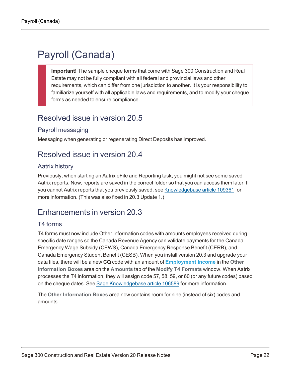## <span id="page-25-0"></span>Payroll (Canada)

**Important!** The sample cheque forms that come with Sage 300 Construction and Real Estate may not be fully compliant with all federal and provincial laws and other requirements, which can differ from one jurisdiction to another. It is your responsibility to familiarize yourself with all applicable laws and requirements, and to modify your cheque forms as needed to ensure compliance.

### <span id="page-25-1"></span>Resolved issue in version 20.5

#### Payroll messaging

<span id="page-25-2"></span>Messaging when generating or regenerating Direct Deposits has improved.

### Resolved issue in version 20.4

#### Aatrix history

Previously, when starting an Aatrix eFile and Reporting task, you might not see some saved Aatrix reports. Now, reports are saved in the correct folder so that you can access them later. If you cannot Aatrix reports that you previously saved, see [Knowledgebase](https://support.na.sage.com/selfservice/viewdocument.do?externalID=109361) article 109361 for more information. (This was also fixed in 20.3 Update 1.)

### <span id="page-25-3"></span>Enhancements in version 20.3

#### T4 forms

T4 forms must now include Other Information codes with amounts employees received during specific date ranges so the Canada Revenue Agency can validate payments for the Canada Emergency Wage Subsidy (CEWS), Canada Emergency Response Benefit (CERB), and Canada Emergency Student Benefit (CESB). When you install version 20.3 and upgrade your data files, there will be a new **CQ** code with an amount of **Employment Income** in the **Other Information Boxes** area on the **Amounts** tab of the **Modify T4 Formats** window. When Aatrix processes the T4 information, they will assign code 57, 58, 59, or 60 (or any future codes) based on the cheque dates. See Sage [Knowledgebase](https://support.na.sage.com/selfservice/viewdocument.do?externalID=106589) article 106589 for more information.

The **Other Information Boxes** area now contains room for nine (instead of six) codes and amounts.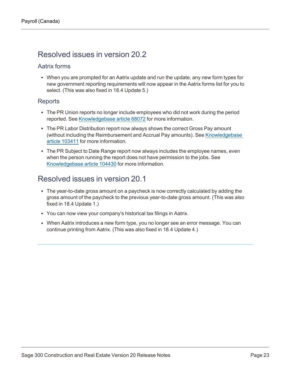### <span id="page-26-0"></span>Resolved issues in version 20.2

#### Aatrix forms

• When you are prompted for an Aatrix update and run the update, any new form types for new government reporting requirements will now appear in the Aatrix forms list for you to select. (This was also fixed in 18.4 Update 5.)

#### **Reports**

- The PR Union reports no longer include employees who did not work during the period reported. See [Knowledgebase](https://support.na.sage.com/selfservice/viewdocument.do?externalID=68072) article 68072 for more information.
- The PR Labor Distribution report now always shows the correct Gross Pay amount (without including the Reimbursement and Accrual Pay amounts). See [Knowledgebase](https://support.na.sage.com/selfservice/viewdocument.do?externalID=103411) article [103411](https://support.na.sage.com/selfservice/viewdocument.do?externalID=103411) for more information.
- The PR Subject to Date Range report now always includes the employee names, even when the person running the report does not have permission to the jobs. See [Knowledgebase](https://support.na.sage.com/selfservice/viewdocument.do?externalID=104430) article 104430 for more information.

### <span id="page-26-1"></span>Resolved issues in version 20.1

- The year-to-date gross amount on a paycheck is now correctly calculated by adding the gross amount of the paycheck to the previous year-to-date gross amount. (This was also fixed in 18.4 Update 1.)
- You can now view your company's historical tax filings in Aatrix.
- When Aatrix introduces a new form type, you no longer see an error message. You can continue printing from Aatrix. (This was also fixed in 18.4 Update 4.)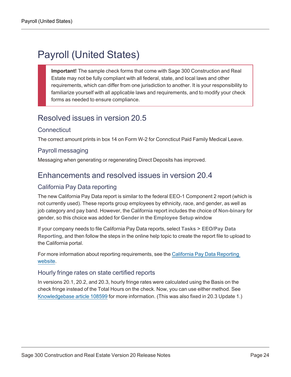## <span id="page-27-0"></span>Payroll (United States)

**Important!** The sample check forms that come with Sage 300 Construction and Real Estate may not be fully compliant with all federal, state, and local laws and other requirements, which can differ from one jurisdiction to another. It is your responsibility to familiarize yourself with all applicable laws and requirements, and to modify your check forms as needed to ensure compliance.

### <span id="page-27-1"></span>Resolved issues in version 20.5

#### **Connecticut**

The correct amount prints in box 14 on Form W-2 for Conncticut Paid Family Medical Leave.

#### Payroll messaging

<span id="page-27-2"></span>Messaging when generating or regenerating Direct Deposits has improved.

### Enhancements and resolved issues in version 20.4

#### California Pay Data reporting

The new California Pay Data report is similar to the federal EEO-1 Component 2 report (which is not currently used). These reports group employees by ethnicity, race, and gender, as well as job category and pay band. However, the California report includes the choice of **Non-binary** for gender, so this choice was added for **Gender** in the **Employee Setup** window

If your company needs to file California Pay Data reports, select **Tasks > EEO/Pay Data Reporting**, and then follow the steps in the online help topic to create the report file to upload to the California portal.

For more information about reporting requirements, see the California Pay Data [Reporting](https://www.dfeh.ca.gov/paydatareporting/) [website](https://www.dfeh.ca.gov/paydatareporting/).

#### Hourly fringe rates on state certified reports

In versions 20.1, 20.2, and 20.3, hourly fringe rates were calculated using the Basis on the check fringe instead of the Total Hours on the check. Now, you can use either method. See [Knowledgebase](https://support.na.sage.com/selfservice/viewdocument.do?externalID=108599) article 108599 for more information. (This was also fixed in 20.3 Update 1.)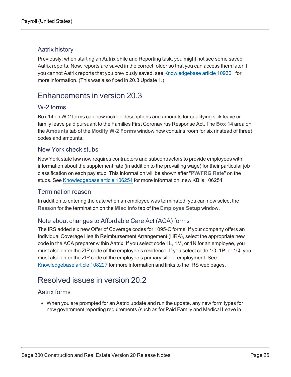#### Aatrix history

Previously, when starting an Aatrix eFile and Reporting task, you might not see some saved Aatrix reports. Now, reports are saved in the correct folder so that you can access them later. If you cannot Aatrix reports that you previously saved, see [Knowledgebase](https://support.na.sage.com/selfservice/viewdocument.do?externalID=109361) article 109361 for more information. (This was also fixed in 20.3 Update 1.)

### <span id="page-28-0"></span>Enhancements in version 20.3

#### W-2 forms

Box 14 on W-2 forms can now include descriptions and amounts for qualifying sick leave or family leave paid pursuant to the Families First Coronavirus Response Act. The **Box 14** area on the **Amounts** tab of the **Modify W-2 Forms** window now contains room for six (instead of three) codes and amounts.

#### New York check stubs

New York state law now requires contractors and subcontractors to provide employees with information about the supplement rate (in addition to the prevailing wage) for their particular job classification on each pay stub. This information will be shown after "**PW/FRG Rate**" on the stubs. See [Knowledgebase](https://support.na.sage.com/selfservice/viewdocument.do?externalID=106254) article 106254 for more information. new KB is 106254

#### Termination reason

In addition to entering the date when an employee was terminated, you can now select the **Reason** for the termination on the **Misc Info** tab of the **Employee Setup** window.

#### Note about changes to Affordable Care Act (ACA) forms

The IRS added six new Offer of Coverage codes for 1095-C forms. If your company offers an Individual Coverage Health Reimbursement Arrangement (HRA), select the appropriate new code in the ACA preparer within Aatrix. If you select code 1L, 1M, or 1N for an employee, you must also enter the ZIP code of the employee's residence. If you select code 1O, 1P, or 1Q, you must also enter the ZIP code of the employee's primary site of employment. See [Knowledgebase](https://support.na.sage.com/selfservice/viewdocument.do?externalID=108227) article 108227 for more information and links to the IRS web pages.

### <span id="page-28-1"></span>Resolved issues in version 20.2

#### Aatrix forms

• When you are prompted for an Aatrix update and run the update, any new form types for new government reporting requirements (such as for Paid Family and Medical Leave in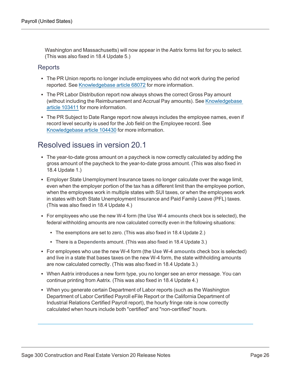Washington and Massachusetts) will now appear in the Aatrix forms list for you to select. (This was also fixed in 18.4 Update 5.)

#### **Reports**

- The PR Union reports no longer include employees who did not work during the period reported. See [Knowledgebase](https://support.na.sage.com/selfservice/viewdocument.do?externalID=68072) article 68072 for more information.
- The PR Labor Distribution report now always shows the correct Gross Pay amount (without including the Reimbursement and Accrual Pay amounts). See [Knowledgebase](https://support.na.sage.com/selfservice/viewdocument.do?externalID=103411) article [103411](https://support.na.sage.com/selfservice/viewdocument.do?externalID=103411) for more information.
- The PR Subject to Date Range report now always includes the employee names, even if record level security is used for the Job field on the Employee record. See [Knowledgebase](https://support.na.sage.com/selfservice/viewdocument.do?externalID=104430) article 104430 for more information.

#### <span id="page-29-0"></span>Resolved issues in version 20.1

- The year-to-date gross amount on a paycheck is now correctly calculated by adding the gross amount of the paycheck to the year-to-date gross amount. (This was also fixed in 18.4 Update 1.)
- Employer State Unemployment Insurance taxes no longer calculate over the wage limit, even when the employer portion of the tax has a different limit than the employee portion, when the employees work in multiple states with SUI taxes, or when the employees work in states with both State Unemployment Insurance and Paid Family Leave (PFL) taxes. (This was also fixed in 18.4 Update 4.)
- <sup>l</sup> For employees who use the new W-4 form (the **Use W-4 amounts** check box is selected), the federal withholding amounts are now calculated correctly even in the following situations:
	- The exemptions are set to zero. (This was also fixed in 18.4 Update 2.)
	- There is a Dependents amount. (This was also fixed in 18.4 Update 3.)
- <sup>l</sup> For employees who use the new W-4 form (the **Use W-4 amounts** check box is selected) and live in a state that bases taxes on the new W-4 form, the state withholding amounts are now calculated correctly. (This was also fixed in 18.4 Update 3.)
- When Aatrix introduces a new form type, you no longer see an error message. You can continue printing from Aatrix. (This was also fixed in 18.4 Update 4.)
- When you generate certain Department of Labor reports (such as the Washington Department of Labor Certified Payroll eFile Report or the California Department of Industrial Relations Certified Payroll report), the hourly fringe rate is now correctly calculated when hours include both "certified" and "non-certified" hours.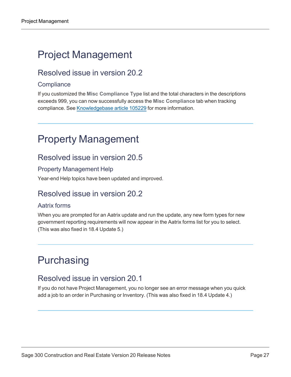## <span id="page-30-0"></span>Project Management

### Resolved issue in version 20.2

#### **Compliance**

If you customized the **Misc Compliance Type** list and the total characters in the descriptions exceeds 999, you can now successfully access the **Misc Compliance** tab when tracking compliance. See [Knowledgebase](https://support.na.sage.com/selfservice/viewdocument.do?externalID=105229) article 105229 for more information.

## <span id="page-30-3"></span><span id="page-30-1"></span>Property Management

### Resolved issue in version 20.5

#### Property Management Help

Year-end Help topics have been updated and improved.

### Resolved issue in version 20.2

#### Aatrix forms

When you are prompted for an Aatrix update and run the update, any new form types for new government reporting requirements will now appear in the Aatrix forms list for you to select. (This was also fixed in 18.4 Update 5.)

## <span id="page-30-2"></span>**Purchasing**

### Resolved issue in version 20.1

If you do not have Project Management, you no longer see an error message when you quick add a job to an order in Purchasing or Inventory. (This was also fixed in 18.4 Update 4.)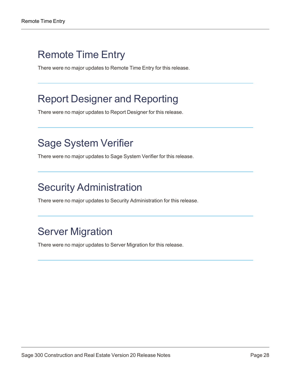### <span id="page-31-0"></span>Remote Time Entry

There were no major updates to Remote Time Entry for this release.

## <span id="page-31-1"></span>Report Designer and Reporting

There were no major updates to Report Designer for this release.

## <span id="page-31-2"></span>Sage System Verifier

There were no major updates to Sage System Verifier for this release.

## <span id="page-31-3"></span>Security Administration

There were no major updates to Security Administration for this release.

## <span id="page-31-4"></span>Server Migration

There were no major updates to Server Migration for this release.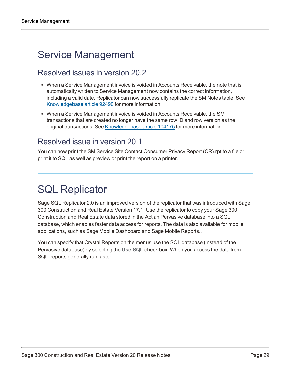## <span id="page-32-0"></span>Service Management

### Resolved issues in version 20.2

- When a Service Management invoice is voided in Accounts Receivable, the note that is automatically written to Service Management now contains the correct information, including a valid date. Replicator can now successfully replicate the SM Notes table. See [Knowledgebase](https://support.na.sage.com/selfservice/viewdocument.do?externalID=92490) article 92490 for more information.
- When a Service Management invoice is voided in Accounts Receivable, the SM transactions that are created no longer have the same row ID and row version as the original transactions. See [Knowledgebase](https://support.na.sage.com/selfservice/viewdocument.do?externalID=104175) article 104175 for more information.

### Resolved issue in version 20.1

You can now print the SM Service Site Contact Consumer Privacy Report (CR).rpt to a file or print it to SQL as well as preview or print the report on a printer.

## <span id="page-32-1"></span>SQL Replicator

Sage SQL Replicator 2.0 is an improved version of the replicator that was introduced with Sage 300 Construction and Real Estate Version 17.1. Use the replicator to copy your Sage 300 Construction and Real Estate data stored in the Actian Pervasive database into a SQL database, which enables faster data access for reports. The data is also available for mobile applications, such as Sage Mobile Dashboard and Sage Mobile Reports..

You can specify that Crystal Reports on the menus use the SQL database (instead of the Pervasive database) by selecting the **Use SQL** check box. When you access the data from SQL, reports generally run faster.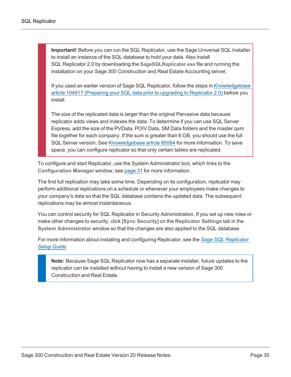**Important!** Before you can run the SQL Replicator, use the Sage Universal SQL Installer to install an instance of the SQL database to hold your data. Also install SQL Replicator 2.0 by downloading the **SageSQLReplicator.exe** file and running the installation on your Sage 300 Construction and Real Estate Accounting server.

If you used an earlier version of Sage SQL Replicator, follow the steps in [Knowledgebase](https://support.na.sage.com/selfservice/viewdocument.do?externalID=104917) article 104917 [\(Preparing](https://support.na.sage.com/selfservice/viewdocument.do?externalID=104917) your SQL data prior to upgrading to Replicator 2.0) before you install.

The size of the replicated data is larger than the original Pervasive data because replicator adds views and indexes the data. To determine if you can use SQL Server Express, add the size of the PVData, POIV Data, SM Data folders and the master.qxm file together for each company. If the sum is greater than 6 GB, you should use the full SQL Server version. See [Knowledgebase](https://support.na.sage.com/selfservice/viewdocument.do?externalID=85584) article 85584 for more information. To save space, you can configure replicator so that only certain tables are replicated.

To configure and start Replicator, use the System Administrator tool, which links to the **Configuration Manager** window; see [page](#page-34-0) 31 for more information.

The first full replication may take some time. Depending on its configuration, replicator may perform additional replications on a schedule or whenever your employees make changes to your company's data so that the SQL database contains the updated data. The subsequent replications may be almost instantaneous.

You can control security for SQL Replicator in Security Administration. If you set up new roles or make other changes to security, click [**Sync Security**] on the **Replicator Settings** tab in the **System Administrator** window so that the changes are also applied to the SQL database.

For more information about installing and configuring Replicator, see the *Sage SQL [Replicator](http://cdn.na.sage.com/Docs/en/customer/300cre/20/open/Replicator_SetupGuide_20.pdf) Setup [Guide](http://cdn.na.sage.com/Docs/en/customer/300cre/20/open/Replicator_SetupGuide_20.pdf)*.

**Note:** Because Sage SQL Replicator now has a separate installer, future updates to the replicator can be installed without having to install a new version of Sage 300 Construction and Real Estate.